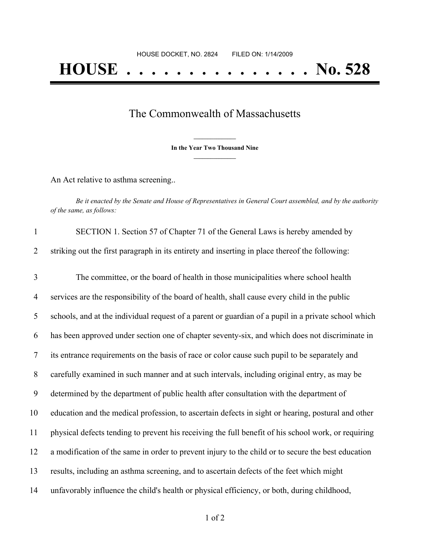## The Commonwealth of Massachusetts

**\_\_\_\_\_\_\_\_\_\_\_\_\_\_\_ In the Year Two Thousand Nine \_\_\_\_\_\_\_\_\_\_\_\_\_\_\_**

An Act relative to asthma screening..

Be it enacted by the Senate and House of Representatives in General Court assembled, and by the authority *of the same, as follows:*

| $\mathbf{1}$   | SECTION 1. Section 57 of Chapter 71 of the General Laws is hereby amended by                        |
|----------------|-----------------------------------------------------------------------------------------------------|
| 2              | striking out the first paragraph in its entirety and inserting in place thereof the following:      |
| 3              | The committee, or the board of health in those municipalities where school health                   |
| $\overline{4}$ | services are the responsibility of the board of health, shall cause every child in the public       |
| 5              | schools, and at the individual request of a parent or guardian of a pupil in a private school which |
| 6              | has been approved under section one of chapter seventy-six, and which does not discriminate in      |
| $\tau$         | its entrance requirements on the basis of race or color cause such pupil to be separately and       |
| 8              | carefully examined in such manner and at such intervals, including original entry, as may be        |
| 9              | determined by the department of public health after consultation with the department of             |
| 10             | education and the medical profession, to ascertain defects in sight or hearing, postural and other  |
| 11             | physical defects tending to prevent his receiving the full benefit of his school work, or requiring |
| 12             | a modification of the same in order to prevent injury to the child or to secure the best education  |
| 13             | results, including an asthma screening, and to ascertain defects of the feet which might            |
| 14             | unfavorably influence the child's health or physical efficiency, or both, during childhood,         |